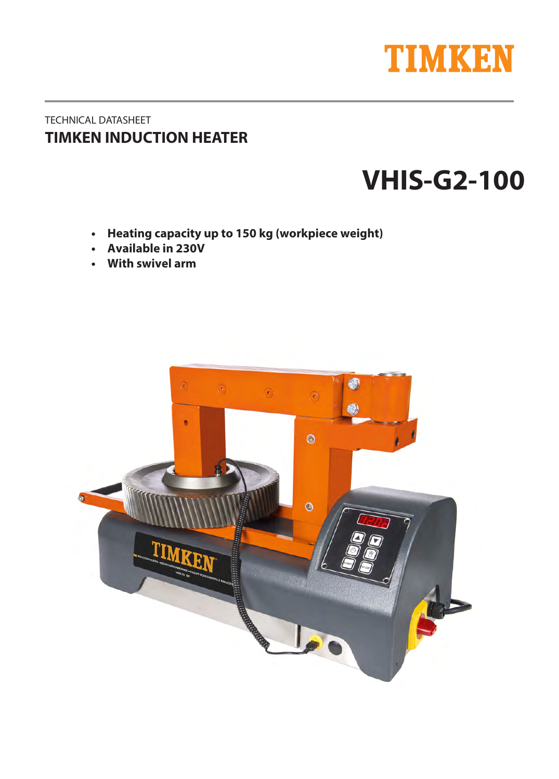

# TECHNICAL DATASHEET **TIMKEN INDUCTION HEATER**

# **VHI4-G2**

- **Heating capacity up to 150 kg (workpiece weight)**
- **Available in 230V**
- With swivel arm